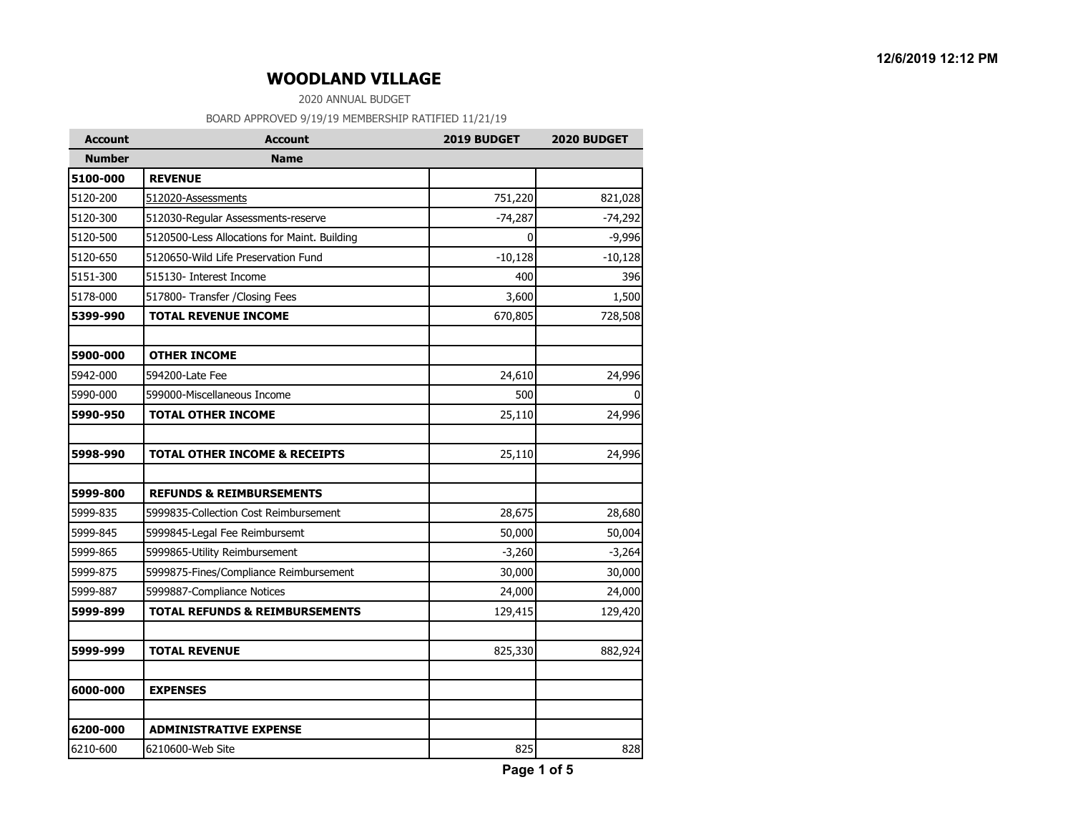2020 ANNUAL BUDGET

| <b>Account</b> | <b>Account</b>                               | 2019 BUDGET | 2020 BUDGET |
|----------------|----------------------------------------------|-------------|-------------|
| <b>Number</b>  | <b>Name</b>                                  |             |             |
| 5100-000       | <b>REVENUE</b>                               |             |             |
| 5120-200       | 512020-Assessments                           | 751,220     | 821,028     |
| 5120-300       | 512030-Regular Assessments-reserve           | $-74,287$   | $-74,292$   |
| 5120-500       | 5120500-Less Allocations for Maint. Building | $\Omega$    | $-9,996$    |
| 5120-650       | 5120650-Wild Life Preservation Fund          | $-10,128$   | $-10,128$   |
| 5151-300       | 515130- Interest Income                      | 400         | 396         |
| 5178-000       | 517800- Transfer / Closing Fees              | 3,600       | 1,500       |
| 5399-990       | <b>TOTAL REVENUE INCOME</b>                  | 670,805     | 728,508     |
| 5900-000       | <b>OTHER INCOME</b>                          |             |             |
| 5942-000       | 594200-Late Fee                              | 24,610      | 24,996      |
| 5990-000       | 599000-Miscellaneous Income                  | 500         |             |
| 5990-950       | <b>TOTAL OTHER INCOME</b>                    | 25,110      | 24,996      |
|                |                                              |             |             |
| 5998-990       | <b>TOTAL OTHER INCOME &amp; RECEIPTS</b>     | 25,110      | 24,996      |
| 5999-800       | <b>REFUNDS &amp; REIMBURSEMENTS</b>          |             |             |
| 5999-835       | 5999835-Collection Cost Reimbursement        | 28,675      | 28,680      |
| 5999-845       | 5999845-Legal Fee Reimbursemt                | 50,000      | 50,004      |
| 5999-865       | 5999865-Utility Reimbursement                | $-3,260$    | $-3,264$    |
| 5999-875       | 5999875-Fines/Compliance Reimbursement       | 30,000      | 30,000      |
| 5999-887       | 5999887-Compliance Notices                   | 24,000      | 24,000      |
| 5999-899       | <b>TOTAL REFUNDS &amp; REIMBURSEMENTS</b>    | 129,415     | 129,420     |
| 5999-999       | <b>TOTAL REVENUE</b>                         | 825,330     | 882,924     |
|                |                                              |             |             |
| 6000-000       | <b>EXPENSES</b>                              |             |             |
| 6200-000       | <b>ADMINISTRATIVE EXPENSE</b>                |             |             |
| 6210-600       | 6210600-Web Site                             | 825         | 828         |
|                |                                              |             |             |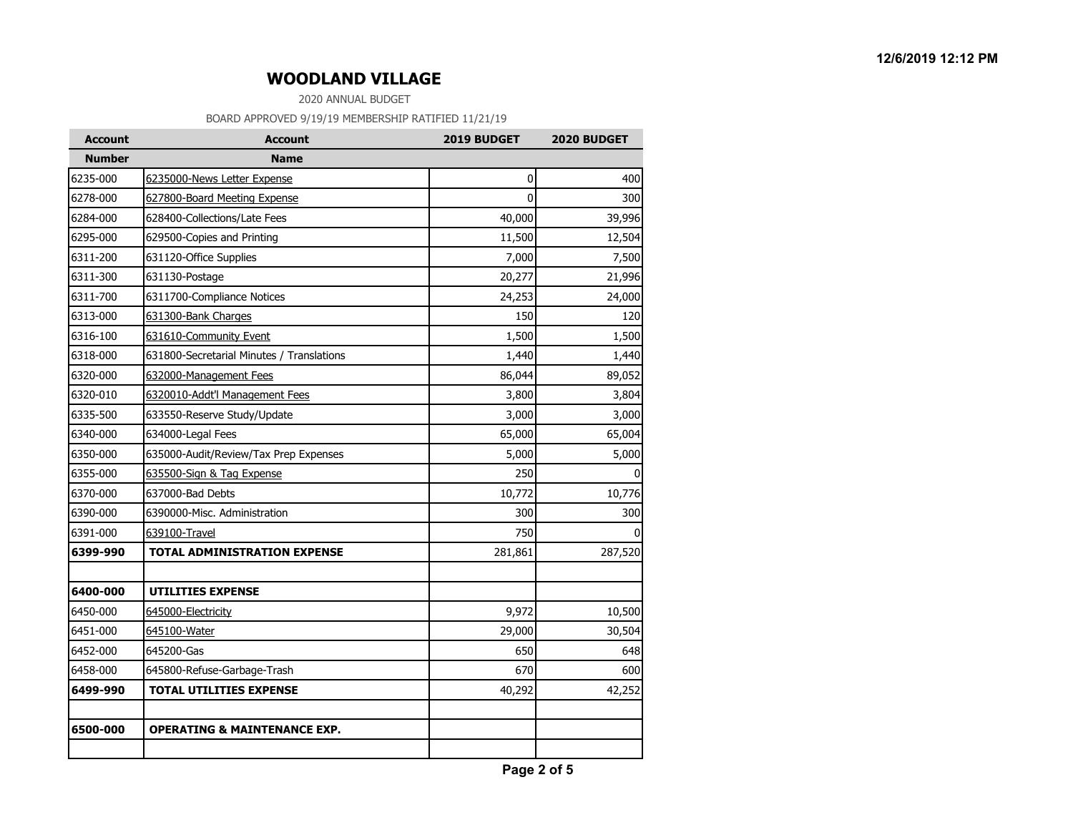2020 ANNUAL BUDGET

| <b>Account</b> | <b>Account</b>                            | 2019 BUDGET  | 2020 BUDGET  |
|----------------|-------------------------------------------|--------------|--------------|
| <b>Number</b>  | <b>Name</b>                               |              |              |
| 6235-000       | 6235000-News Letter Expense               | 0            | 400          |
| 6278-000       | 627800-Board Meeting Expense              | $\mathbf{0}$ | 300          |
| 6284-000       | 628400-Collections/Late Fees              | 40,000       | 39,996       |
| 6295-000       | 629500-Copies and Printing                | 11,500       | 12,504       |
| 6311-200       | 631120-Office Supplies                    | 7,000        | 7,500        |
| 6311-300       | 631130-Postage                            | 20,277       | 21,996       |
| 6311-700       | 6311700-Compliance Notices                | 24,253       | 24,000       |
| 6313-000       | 631300-Bank Charges                       | 150          | 120          |
| 6316-100       | 631610-Community Event                    | 1,500        | 1,500        |
| 6318-000       | 631800-Secretarial Minutes / Translations | 1,440        | 1,440        |
| 6320-000       | 632000-Management Fees                    | 86,044       | 89,052       |
| 6320-010       | 6320010-Addt'l Management Fees            | 3,800        | 3,804        |
| 6335-500       | 633550-Reserve Study/Update               | 3,000        | 3,000        |
| 6340-000       | 634000-Legal Fees                         | 65,000       | 65,004       |
| 6350-000       | 635000-Audit/Review/Tax Prep Expenses     | 5,000        | 5,000        |
| 6355-000       | 635500-Sign & Tag Expense                 | 250          | $\mathbf{0}$ |
| 6370-000       | 637000-Bad Debts                          | 10,772       | 10,776       |
| 6390-000       | 6390000-Misc. Administration              | 300          | 300          |
| 6391-000       | 639100-Travel                             | 750          | $\Omega$     |
| 6399-990       | <b>TOTAL ADMINISTRATION EXPENSE</b>       | 281,861      | 287,520      |
| 6400-000       | <b>UTILITIES EXPENSE</b>                  |              |              |
| 6450-000       | 645000-Electricity                        | 9,972        | 10,500       |
| 6451-000       | 645100-Water                              | 29,000       | 30,504       |
| 6452-000       | 645200-Gas                                | 650          | 648          |
| 6458-000       | 645800-Refuse-Garbage-Trash               | 670          | 600          |
| 6499-990       | <b>TOTAL UTILITIES EXPENSE</b>            | 40,292       | 42,252       |
| 6500-000       | <b>OPERATING &amp; MAINTENANCE EXP.</b>   |              |              |
|                |                                           |              |              |
|                |                                           |              |              |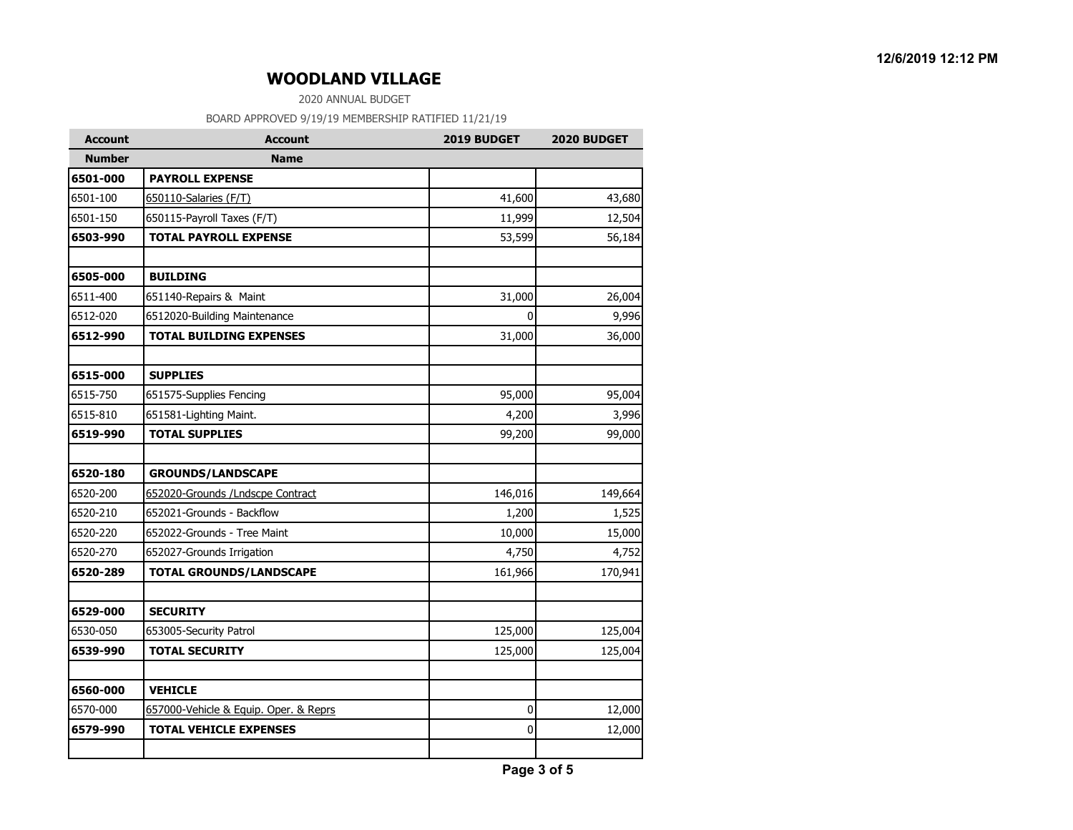2020 ANNUAL BUDGET

| <b>Account</b> | <b>Account</b>                        | 2019 BUDGET | 2020 BUDGET |
|----------------|---------------------------------------|-------------|-------------|
| <b>Number</b>  | <b>Name</b>                           |             |             |
| 6501-000       | <b>PAYROLL EXPENSE</b>                |             |             |
| 6501-100       | 650110-Salaries (F/T)                 | 41,600      | 43,680      |
| 6501-150       | 650115-Payroll Taxes (F/T)            | 11,999      | 12,504      |
| 6503-990       | <b>TOTAL PAYROLL EXPENSE</b>          | 53,599      | 56,184      |
| 6505-000       | <b>BUILDING</b>                       |             |             |
| 6511-400       | 651140-Repairs & Maint                | 31,000      | 26,004      |
| 6512-020       | 6512020-Building Maintenance          | 0           | 9,996       |
| 6512-990       | <b>TOTAL BUILDING EXPENSES</b>        | 31,000      | 36,000      |
| 6515-000       | <b>SUPPLIES</b>                       |             |             |
| 6515-750       | 651575-Supplies Fencing               | 95,000      | 95,004      |
| 6515-810       | 651581-Lighting Maint.                | 4,200       | 3,996       |
| 6519-990       | <b>TOTAL SUPPLIES</b>                 | 99,200      | 99,000      |
| 6520-180       | <b>GROUNDS/LANDSCAPE</b>              |             |             |
| 6520-200       | 652020-Grounds / Lndscpe Contract     | 146,016     | 149,664     |
| 6520-210       | 652021-Grounds - Backflow             | 1,200       | 1,525       |
| 6520-220       | 652022-Grounds - Tree Maint           | 10,000      | 15,000      |
| 6520-270       | 652027-Grounds Irrigation             | 4,750       | 4,752       |
| 6520-289       | <b>TOTAL GROUNDS/LANDSCAPE</b>        | 161,966     | 170,941     |
| 6529-000       | <b>SECURITY</b>                       |             |             |
| 6530-050       | 653005-Security Patrol                | 125,000     | 125,004     |
| 6539-990       | <b>TOTAL SECURITY</b>                 | 125,000     | 125,004     |
| 6560-000       | <b>VEHICLE</b>                        |             |             |
| 6570-000       | 657000-Vehicle & Equip. Oper. & Reprs | 0           | 12,000      |
| 6579-990       | <b>TOTAL VEHICLE EXPENSES</b>         | 0           | 12,000      |
|                |                                       |             |             |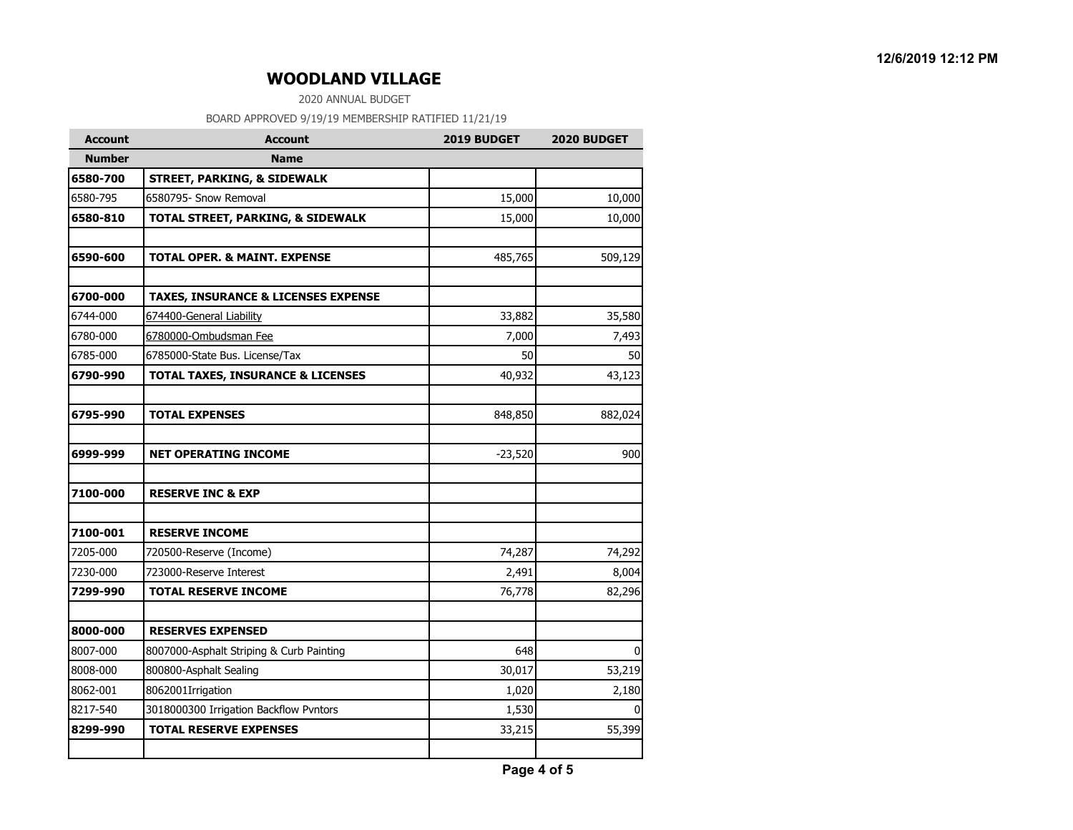2020 ANNUAL BUDGET

| <b>Account</b> | <b>Account</b>                                 | 2019 BUDGET | 2020 BUDGET  |
|----------------|------------------------------------------------|-------------|--------------|
| <b>Number</b>  | <b>Name</b>                                    |             |              |
| 6580-700       | <b>STREET, PARKING, &amp; SIDEWALK</b>         |             |              |
| 6580-795       | 6580795- Snow Removal                          | 15,000      | 10,000       |
| 6580-810       | TOTAL STREET, PARKING, & SIDEWALK              | 15,000      | 10,000       |
| 6590-600       | <b>TOTAL OPER. &amp; MAINT. EXPENSE</b>        | 485,765     | 509,129      |
| 6700-000       | <b>TAXES, INSURANCE &amp; LICENSES EXPENSE</b> |             |              |
| 6744-000       | 674400-General Liability                       | 33,882      | 35,580       |
| 6780-000       | 6780000-Ombudsman Fee                          | 7,000       | 7,493        |
| 6785-000       | 6785000-State Bus. License/Tax                 | 50          | 50           |
| 6790-990       | <b>TOTAL TAXES, INSURANCE &amp; LICENSES</b>   | 40,932      | 43,123       |
| 6795-990       | <b>TOTAL EXPENSES</b>                          | 848,850     | 882,024      |
| 6999-999       | <b>NET OPERATING INCOME</b>                    | $-23,520$   | 900          |
| 7100-000       | <b>RESERVE INC &amp; EXP</b>                   |             |              |
| 7100-001       | <b>RESERVE INCOME</b>                          |             |              |
| 7205-000       | 720500-Reserve (Income)                        | 74,287      | 74,292       |
| 7230-000       | 723000-Reserve Interest                        | 2,491       | 8,004        |
| 7299-990       | <b>TOTAL RESERVE INCOME</b>                    | 76,778      | 82,296       |
| 8000-000       | <b>RESERVES EXPENSED</b>                       |             |              |
| 8007-000       | 8007000-Asphalt Striping & Curb Painting       | 648         | 0            |
| 8008-000       | 800800-Asphalt Sealing                         | 30,017      | 53,219       |
| 8062-001       | 8062001Irrigation                              | 1,020       | 2,180        |
| 8217-540       | 3018000300 Irrigation Backflow Pvntors         | 1,530       | <sup>0</sup> |
| 8299-990       | <b>TOTAL RESERVE EXPENSES</b>                  | 33,215      | 55,399       |
|                |                                                |             |              |